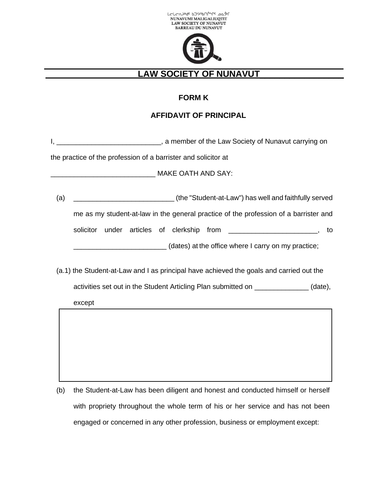



## **LAW SOCIETY OF NUNAVUT**\_\_\_\_\_\_\_\_\_\_\_\_\_\_\_\_\_

## **FORM K**

## **AFFIDAVIT OF PRINCIPAL**

I, \_\_\_\_\_\_\_\_\_\_\_\_\_\_\_\_\_\_\_\_\_\_\_\_\_\_\_\_\_\_\_\_, a member of the Law Society of Nunavut carrying on

the practice of the profession of a barrister and solicitor at

MAKE OATH AND SAY:

(a) \_\_\_\_\_\_\_\_\_\_\_\_\_\_\_\_\_\_\_\_\_\_\_\_\_\_ (the "Student-at-Law") has well and faithfully served me as my student-at-law in the general practice of the profession of a barrister and solicitor under articles of clerkship from the solicitor and to to \_\_\_\_\_\_\_\_\_\_\_\_\_\_\_\_\_\_\_\_\_\_\_\_ (dates) at the office where I carry on my practice;

(a.1) the Student-at-Law and I as principal have achieved the goals and carried out the activities set out in the Student Articling Plan submitted on \_\_\_\_\_\_\_\_\_\_\_\_\_\_ (date), except

(b) the Student-at-Law has been diligent and honest and conducted himself or herself with propriety throughout the whole term of his or her service and has not been engaged or concerned in any other profession, business or employment except: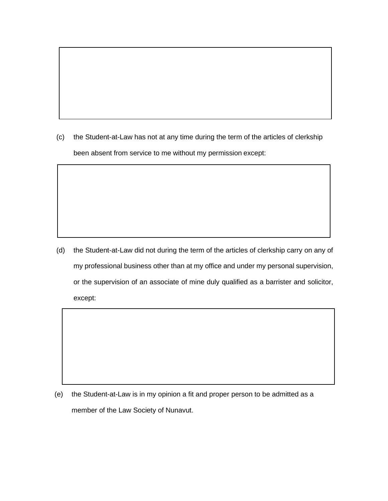(c) the Student-at-Law has not at any time during the term of the articles of clerkship been absent from service to me without my permission except:

(d) the Student-at-Law did not during the term of the articles of clerkship carry on any of my professional business other than at my office and under my personal supervision, or the supervision of an associate of mine duly qualified as a barrister and solicitor, except:

(e) the Student-at-Law is in my opinion a fit and proper person to be admitted as a member of the Law Society of Nunavut.